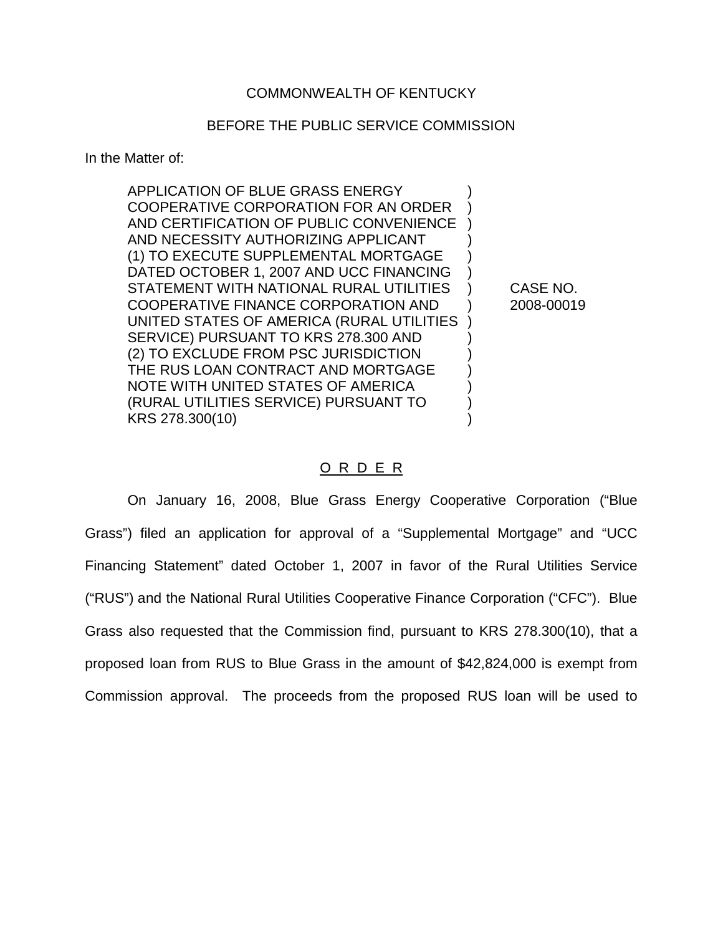## BEFORE THE PUBLIC SERVICE COMMISSION

In the Matter of:

APPLICATION OF BLUE GRASS ENERGY ) COOPERATIVE CORPORATION FOR AN ORDER ) AND CERTIFICATION OF PUBLIC CONVENIENCE ) AND NECESSITY AUTHORIZING APPLICANT (1) TO EXECUTE SUPPLEMENTAL MORTGAGE ) DATED OCTOBER 1, 2007 AND UCC FINANCING STATEMENT WITH NATIONAL RURAL UTILITIES ) CASE NO. COOPERATIVE FINANCE CORPORATION AND ) 2008-00019 UNITED STATES OF AMERICA (RURAL UTILITIES ) SERVICE) PURSUANT TO KRS 278.300 AND (2) TO EXCLUDE FROM PSC JURISDICTION ) THE RUS LOAN CONTRACT AND MORTGAGE NOTE WITH UNITED STATES OF AMERICA ) (RURAL UTILITIES SERVICE) PURSUANT TO ) KRS 278.300(10)

## O R D E R

On January 16, 2008, Blue Grass Energy Cooperative Corporation ("Blue Grass") filed an application for approval of a "Supplemental Mortgage" and "UCC Financing Statement" dated October 1, 2007 in favor of the Rural Utilities Service ("RUS") and the National Rural Utilities Cooperative Finance Corporation ("CFC"). Blue Grass also requested that the Commission find, pursuant to KRS 278.300(10), that a proposed loan from RUS to Blue Grass in the amount of \$42,824,000 is exempt from Commission approval. The proceeds from the proposed RUS loan will be used to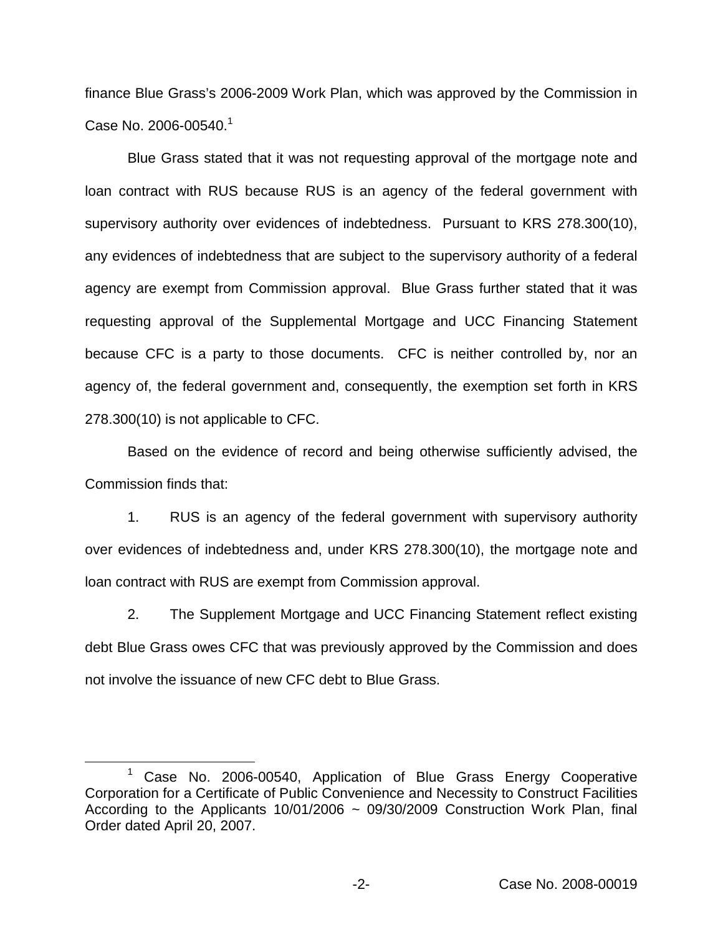finance Blue Grass's 2006-2009 Work Plan, which was approved by the Commission in Case No. 2006-00540.<sup>1</sup>

Blue Grass stated that it was not requesting approval of the mortgage note and loan contract with RUS because RUS is an agency of the federal government with supervisory authority over evidences of indebtedness. Pursuant to KRS 278.300(10), any evidences of indebtedness that are subject to the supervisory authority of a federal agency are exempt from Commission approval. Blue Grass further stated that it was requesting approval of the Supplemental Mortgage and UCC Financing Statement because CFC is a party to those documents. CFC is neither controlled by, nor an agency of, the federal government and, consequently, the exemption set forth in KRS 278.300(10) is not applicable to CFC.

Based on the evidence of record and being otherwise sufficiently advised, the Commission finds that:

1. RUS is an agency of the federal government with supervisory authority over evidences of indebtedness and, under KRS 278.300(10), the mortgage note and loan contract with RUS are exempt from Commission approval.

2. The Supplement Mortgage and UCC Financing Statement reflect existing debt Blue Grass owes CFC that was previously approved by the Commission and does not involve the issuance of new CFC debt to Blue Grass.

 $1$  Case No. 2006-00540, Application of Blue Grass Energy Cooperative Corporation for a Certificate of Public Convenience and Necessity to Construct Facilities According to the Applicants 10/01/2006  $\sim$  09/30/2009 Construction Work Plan, final Order dated April 20, 2007.